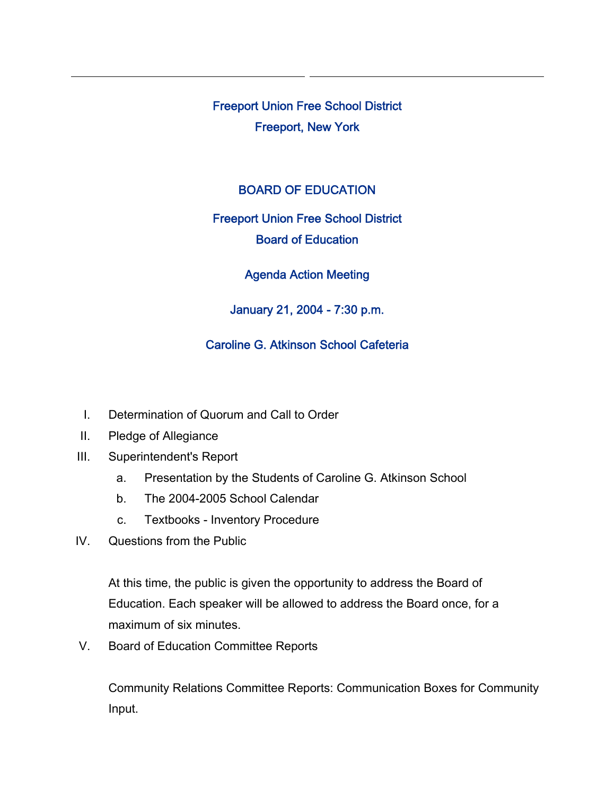Freeport Union Free School District Freeport, New York

### BOARD OF EDUCATION

# Freeport Union Free School District Board of Education

### Agenda Action Meeting

### January 21, 2004 - 7:30 p.m.

## Caroline G. Atkinson School Cafeteria

- I. Determination of Quorum and Call to Order
- II. Pledge of Allegiance
- III. Superintendent's Report
	- a. Presentation by the Students of Caroline G. Atkinson School
	- b. The 2004-2005 School Calendar
	- c. Textbooks Inventory Procedure
- IV. Questions from the Public

At this time, the public is given the opportunity to address the Board of Education. Each speaker will be allowed to address the Board once, for a maximum of six minutes.

V. Board of Education Committee Reports

Community Relations Committee Reports: Communication Boxes for Community Input.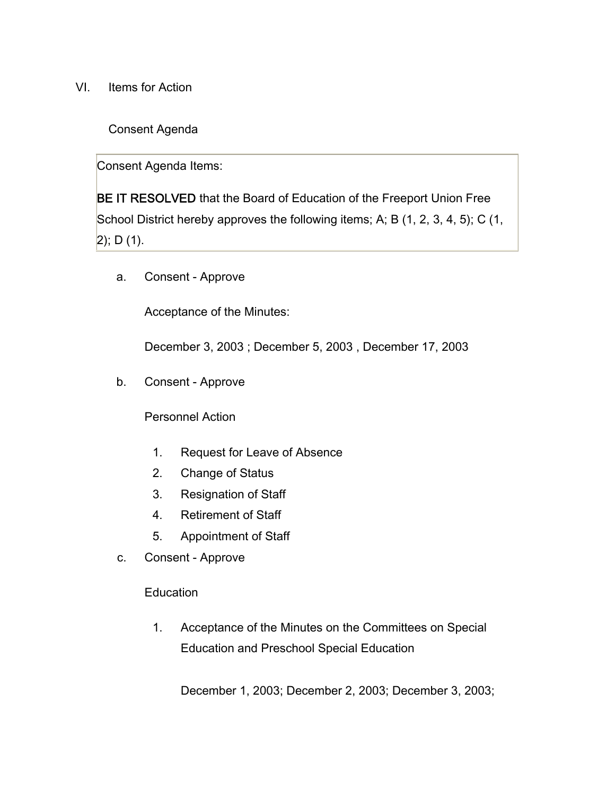VI. Items for Action

Consent Agenda

Consent Agenda Items:

BE IT RESOLVED that the Board of Education of the Freeport Union Free School District hereby approves the following items; A; B (1, 2, 3, 4, 5); C (1,  $|2$ ); D (1).

a. Consent - Approve

Acceptance of the Minutes:

December 3, 2003 ; December 5, 2003 , December 17, 2003

b. Consent - Approve

Personnel Action

- 1. Request for Leave of Absence
- 2. Change of Status
- 3. Resignation of Staff
- 4. Retirement of Staff
- 5. Appointment of Staff
- c. Consent Approve

**Education** 

1. Acceptance of the Minutes on the Committees on Special Education and Preschool Special Education

December 1, 2003; December 2, 2003; December 3, 2003;